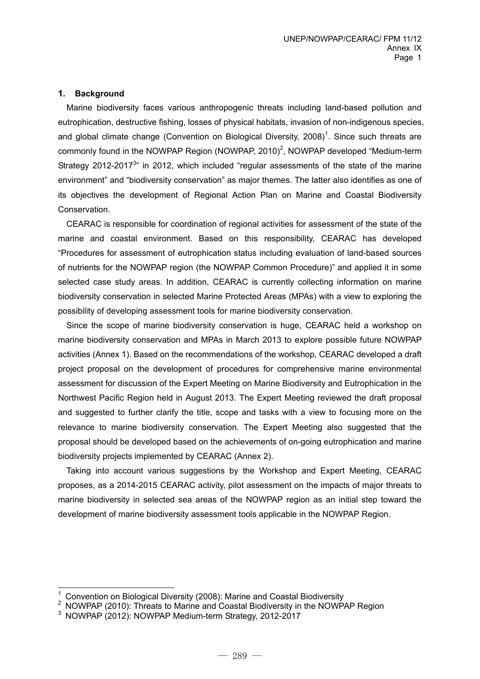#### **1. Background**

 Marine biodiversity faces various anthropogenic threats including land-based pollution and eutrophication, destructive fishing, losses of physical habitats, invasion of non-indigenous species, and global climate change (Convention on Biological Diversity, 2008)<sup>1</sup>. Since such threats are commonly found in the NOWPAP Region (NOWPAP, 2010)<sup>2</sup>, NOWPAP developed "Medium-term Strategy 2012-2017 $3$ " in 2012, which included "regular assessments of the state of the marine environment" and "biodiversity conservation" as major themes. The latter also identifies as one of its objectives the development of Regional Action Plan on Marine and Coastal Biodiversity Conservation.

CEARAC is responsible for coordination of regional activities for assessment of the state of the marine and coastal environment. Based on this responsibility, CEARAC has developed "Procedures for assessment of eutrophication status including evaluation of land-based sources of nutrients for the NOWPAP region (the NOWPAP Common Procedure)" and applied it in some selected case study areas. In addition, CEARAC is currently collecting information on marine biodiversity conservation in selected Marine Protected Areas (MPAs) with a view to exploring the possibility of developing assessment tools for marine biodiversity conservation.

Since the scope of marine biodiversity conservation is huge, CEARAC held a workshop on marine biodiversity conservation and MPAs in March 2013 to explore possible future NOWPAP activities (Annex 1). Based on the recommendations of the workshop, CEARAC developed a draft project proposal on the development of procedures for comprehensive marine environmental assessment for discussion of the Expert Meeting on Marine Biodiversity and Eutrophication in the Northwest Pacific Region held in August 2013. The Expert Meeting reviewed the draft proposal and suggested to further clarify the title, scope and tasks with a view to focusing more on the relevance to marine biodiversity conservation. The Expert Meeting also suggested that the proposal should be developed based on the achievements of on-going eutrophication and marine biodiversity projects implemented by CEARAC (Annex 2).

Taking into account various suggestions by the Workshop and Expert Meeting, CEARAC proposes, as a 2014-2015 CEARAC activity, pilot assessment on the impacts of major threats to marine biodiversity in selected sea areas of the NOWPAP region as an initial step toward the development of marine biodiversity assessment tools applicable in the NOWPAP Region.

-

<sup>&</sup>lt;sup>1</sup> Convention on Biological Diversity (2008): Marine and Coastal Biodiversity<br><sup>2</sup> NOWBAB (2010): Throate to Marine and Coastal Biodiversity in the NOWB

 $2$  NOWPAP (2010): Threats to Marine and Coastal Biodiversity in the NOWPAP Region

 $3$  NOWPAP (2012): NOWPAP Medium-term Strategy, 2012-2017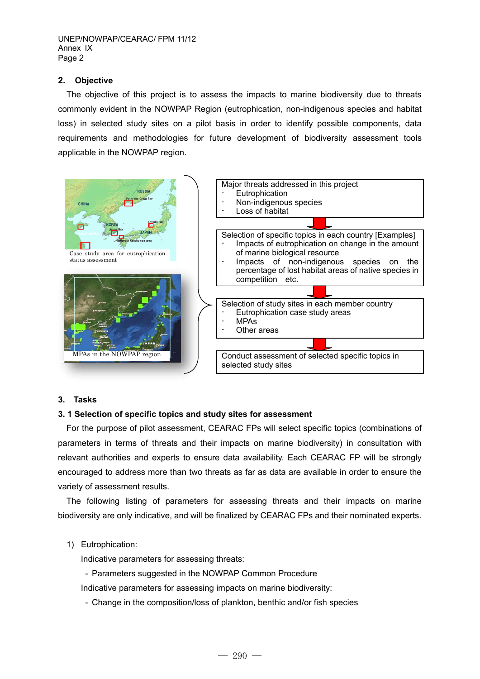UNEP/NOWPAP/CEARAC/ FPM 11/12 Annex IX Page 2

### **2. Objective**

 The objective of this project is to assess the impacts to marine biodiversity due to threats commonly evident in the NOWPAP Region (eutrophication, non-indigenous species and habitat loss) in selected study sites on a pilot basis in order to identify possible components, data requirements and methodologies for future development of biodiversity assessment tools applicable in the NOWPAP region.



#### **3. Tasks**

#### **3. 1 Selection of specific topics and study sites for assessment**

For the purpose of pilot assessment, CEARAC FPs will select specific topics (combinations of parameters in terms of threats and their impacts on marine biodiversity) in consultation with relevant authorities and experts to ensure data availability. Each CEARAC FP will be strongly encouraged to address more than two threats as far as data are available in order to ensure the variety of assessment results.

The following listing of parameters for assessing threats and their impacts on marine biodiversity are only indicative, and will be finalized by CEARAC FPs and their nominated experts.

#### 1) Eutrophication:

Indicative parameters for assessing threats:

- Parameters suggested in the NOWPAP Common Procedure

Indicative parameters for assessing impacts on marine biodiversity:

- Change in the composition/loss of plankton, benthic and/or fish species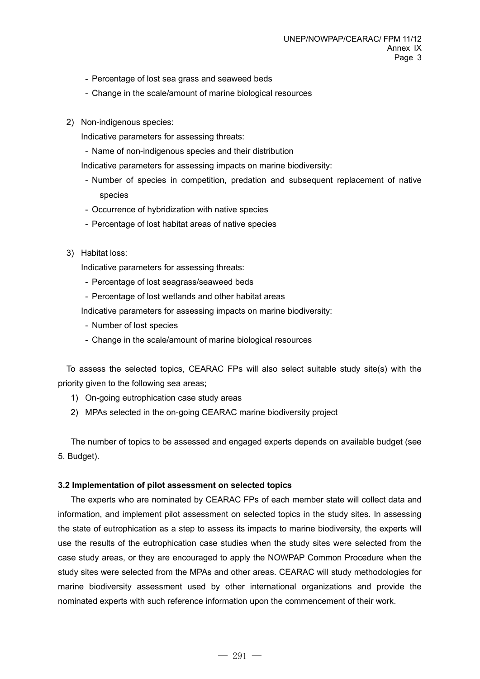- Percentage of lost sea grass and seaweed beds
- Change in the scale/amount of marine biological resources
- 2) Non-indigenous species:

Indicative parameters for assessing threats:

- Name of non-indigenous species and their distribution

Indicative parameters for assessing impacts on marine biodiversity:

- Number of species in competition, predation and subsequent replacement of native species
- Occurrence of hybridization with native species
- Percentage of lost habitat areas of native species
- 3) Habitat loss:

Indicative parameters for assessing threats:

- Percentage of lost seagrass/seaweed beds
- Percentage of lost wetlands and other habitat areas

Indicative parameters for assessing impacts on marine biodiversity:

- Number of lost species
- Change in the scale/amount of marine biological resources

To assess the selected topics, CEARAC FPs will also select suitable study site(s) with the priority given to the following sea areas;

- 1) On-going eutrophication case study areas
- 2) MPAs selected in the on-going CEARAC marine biodiversity project

The number of topics to be assessed and engaged experts depends on available budget (see 5. Budget).

### **3.2 Implementation of pilot assessment on selected topics**

 The experts who are nominated by CEARAC FPs of each member state will collect data and information, and implement pilot assessment on selected topics in the study sites. In assessing the state of eutrophication as a step to assess its impacts to marine biodiversity, the experts will use the results of the eutrophication case studies when the study sites were selected from the case study areas, or they are encouraged to apply the NOWPAP Common Procedure when the study sites were selected from the MPAs and other areas. CEARAC will study methodologies for marine biodiversity assessment used by other international organizations and provide the nominated experts with such reference information upon the commencement of their work.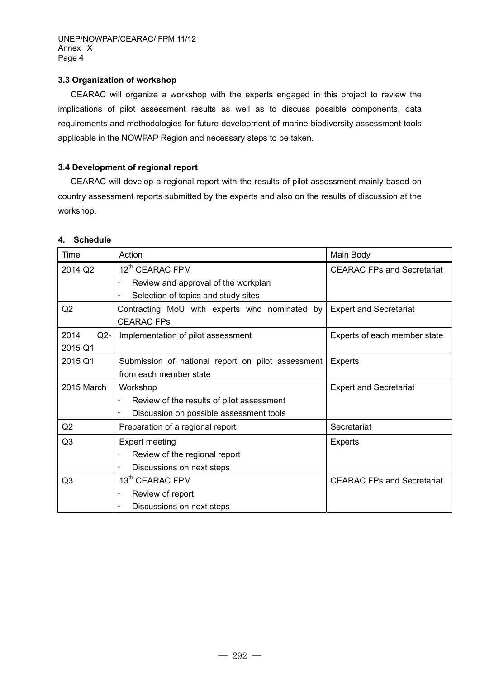## **3.3 Organization of workshop**

 CEARAC will organize a workshop with the experts engaged in this project to review the implications of pilot assessment results as well as to discuss possible components, data requirements and methodologies for future development of marine biodiversity assessment tools applicable in the NOWPAP Region and necessary steps to be taken.

## **3.4 Development of regional report**

 CEARAC will develop a regional report with the results of pilot assessment mainly based on country assessment reports submitted by the experts and also on the results of discussion at the workshop.

### **4. Schedule**

| Time           | Action                                                    | Main Body                         |  |
|----------------|-----------------------------------------------------------|-----------------------------------|--|
| 2014 Q2        | 12 <sup>th</sup> CEARAC FPM                               | <b>CEARAC FPs and Secretariat</b> |  |
|                | Review and approval of the workplan                       |                                   |  |
|                | Selection of topics and study sites                       |                                   |  |
| Q2             | Contracting MoU with experts who nominated by             | <b>Expert and Secretariat</b>     |  |
|                | <b>CEARAC FPs</b>                                         |                                   |  |
| 2014<br>$Q2-$  | Implementation of pilot assessment                        | Experts of each member state      |  |
| 2015 Q1        |                                                           |                                   |  |
| 2015 Q1        | Submission of national report on pilot assessment         | <b>Experts</b>                    |  |
|                | from each member state                                    |                                   |  |
| 2015 March     | Workshop                                                  | <b>Expert and Secretariat</b>     |  |
|                | Review of the results of pilot assessment                 |                                   |  |
|                |                                                           |                                   |  |
|                | Discussion on possible assessment tools                   |                                   |  |
| Q2             | Preparation of a regional report                          | Secretariat                       |  |
| Q3             | <b>Expert meeting</b>                                     | <b>Experts</b>                    |  |
|                | Review of the regional report<br>$\overline{\phantom{a}}$ |                                   |  |
|                | Discussions on next steps<br>-                            |                                   |  |
| Q <sub>3</sub> | 13 <sup>th</sup> CEARAC FPM                               | <b>CEARAC FPs and Secretariat</b> |  |
|                | Review of report                                          |                                   |  |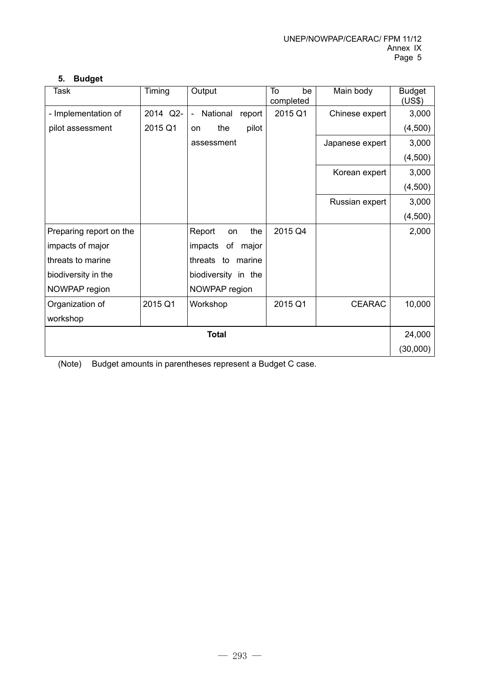## **5. Budget**

| Task                    | Timing   | Output                               |        | To<br>be<br>completed | Main body       | <b>Budget</b><br>(US\$) |  |
|-------------------------|----------|--------------------------------------|--------|-----------------------|-----------------|-------------------------|--|
| - Implementation of     | 2014 Q2- | National<br>$\overline{\phantom{a}}$ | report | 2015 Q1               | Chinese expert  | 3,000                   |  |
| pilot assessment        | 2015 Q1  | the<br><b>on</b>                     | pilot  |                       |                 | (4,500)                 |  |
|                         |          | assessment                           |        |                       | Japanese expert | 3,000                   |  |
|                         |          |                                      |        |                       |                 | (4,500)                 |  |
|                         |          |                                      |        |                       | Korean expert   | 3,000                   |  |
|                         |          |                                      |        |                       |                 | (4,500)                 |  |
|                         |          |                                      |        |                       | Russian expert  | 3,000                   |  |
|                         |          |                                      |        |                       |                 | (4,500)                 |  |
| Preparing report on the |          | Report<br>on                         | the    | 2015 Q4               |                 | 2,000                   |  |
| impacts of major        |          | impacts<br>οf                        | major  |                       |                 |                         |  |
| threats to marine       |          | threats to                           | marine |                       |                 |                         |  |
| biodiversity in the     |          | biodiversity in the                  |        |                       |                 |                         |  |
| NOWPAP region           |          | NOWPAP region                        |        |                       |                 |                         |  |
| Organization of         | 2015 Q1  | Workshop                             |        | 2015 Q1               | <b>CEARAC</b>   | 10,000                  |  |
| workshop                |          |                                      |        |                       |                 |                         |  |
| <b>Total</b>            |          |                                      |        |                       |                 |                         |  |
|                         |          |                                      |        |                       |                 |                         |  |

(Note) Budget amounts in parentheses represent a Budget C case.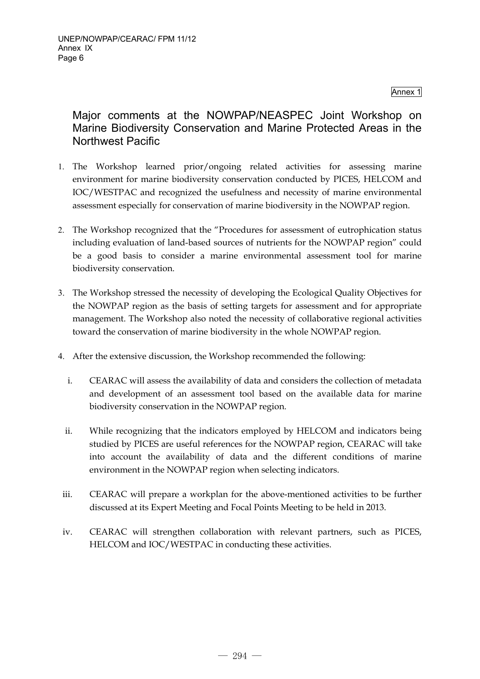Annex 1

# Major comments at the NOWPAP/NEASPEC Joint Workshop on Marine Biodiversity Conservation and Marine Protected Areas in the Northwest Pacific

- 1. The Workshop learned prior/ongoing related activities for assessing marine environment for marine biodiversity conservation conducted by PICES, HELCOM and IOC/WESTPAC and recognized the usefulness and necessity of marine environmental assessment especially for conservation of marine biodiversity in the NOWPAP region.
- 2. The Workshop recognized that the "Procedures for assessment of eutrophication status including evaluation of land-based sources of nutrients for the NOWPAP region" could be a good basis to consider a marine environmental assessment tool for marine biodiversity conservation.
- 3. The Workshop stressed the necessity of developing the Ecological Quality Objectives for the NOWPAP region as the basis of setting targets for assessment and for appropriate management. The Workshop also noted the necessity of collaborative regional activities toward the conservation of marine biodiversity in the whole NOWPAP region.
- 4. After the extensive discussion, the Workshop recommended the following:
	- i. CEARAC will assess the availability of data and considers the collection of metadata and development of an assessment tool based on the available data for marine biodiversity conservation in the NOWPAP region.
	- ii. While recognizing that the indicators employed by HELCOM and indicators being studied by PICES are useful references for the NOWPAP region, CEARAC will take into account the availability of data and the different conditions of marine environment in the NOWPAP region when selecting indicators.
- iii. CEARAC will prepare a workplan for the above-mentioned activities to be further discussed at its Expert Meeting and Focal Points Meeting to be held in 2013.
- iv. CEARAC will strengthen collaboration with relevant partners, such as PICES, HELCOM and IOC/WESTPAC in conducting these activities.